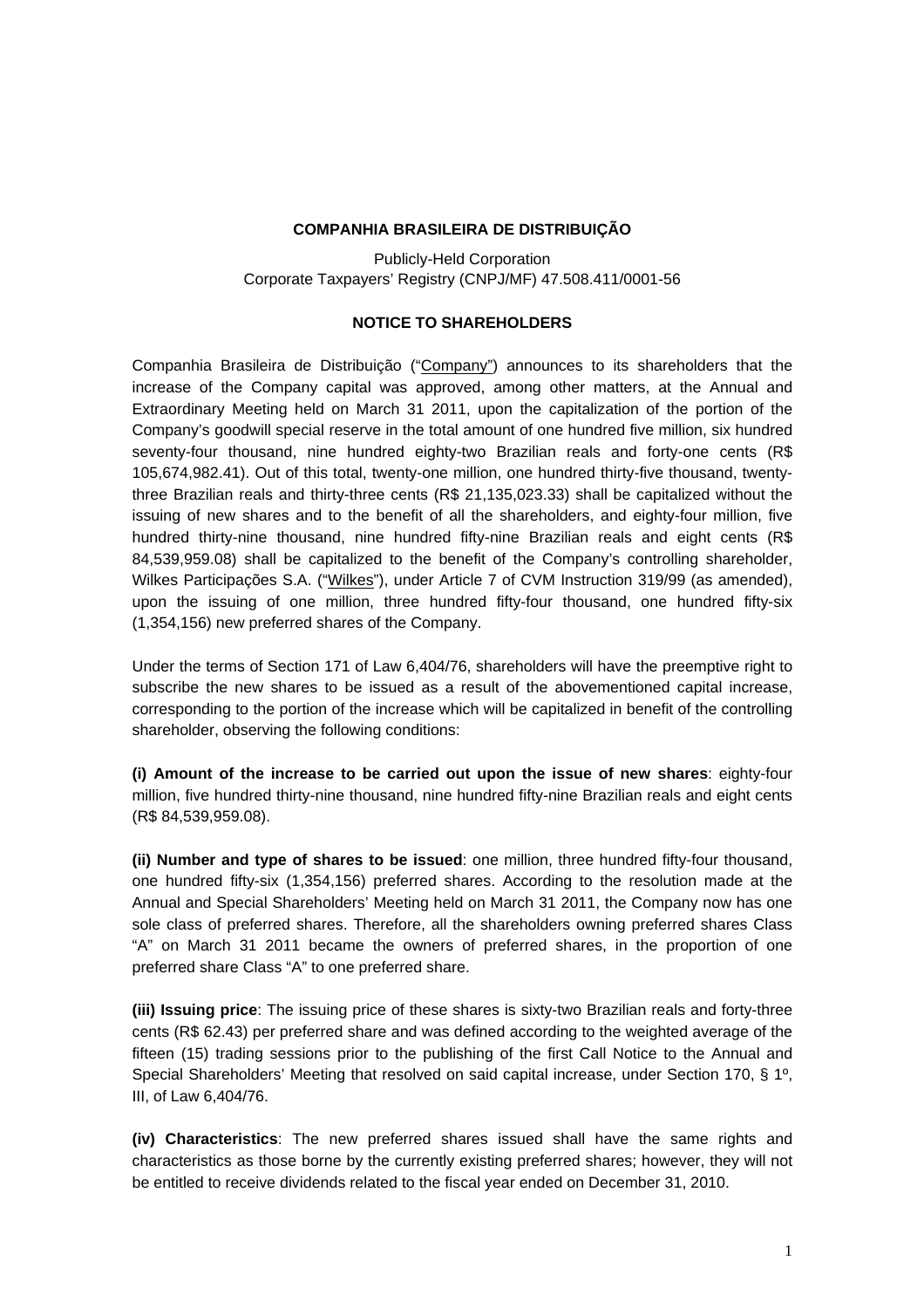## **COMPANHIA BRASILEIRA DE DISTRIBUIÇÃO**

Publicly-Held Corporation Corporate Taxpayers' Registry (CNPJ/MF) 47.508.411/0001-56

## **NOTICE TO SHAREHOLDERS**

Companhia Brasileira de Distribuição ("Company") announces to its shareholders that the increase of the Company capital was approved, among other matters, at the Annual and Extraordinary Meeting held on March 31 2011, upon the capitalization of the portion of the Company's goodwill special reserve in the total amount of one hundred five million, six hundred seventy-four thousand, nine hundred eighty-two Brazilian reals and forty-one cents (R\$ 105,674,982.41). Out of this total, twenty-one million, one hundred thirty-five thousand, twentythree Brazilian reals and thirty-three cents (R\$ 21,135,023.33) shall be capitalized without the issuing of new shares and to the benefit of all the shareholders, and eighty-four million, five hundred thirty-nine thousand, nine hundred fifty-nine Brazilian reals and eight cents (R\$ 84,539,959.08) shall be capitalized to the benefit of the Company's controlling shareholder, Wilkes Participações S.A. ("Wilkes"), under Article 7 of CVM Instruction 319/99 (as amended), upon the issuing of one million, three hundred fifty-four thousand, one hundred fifty-six (1,354,156) new preferred shares of the Company.

Under the terms of Section 171 of Law 6,404/76, shareholders will have the preemptive right to subscribe the new shares to be issued as a result of the abovementioned capital increase, corresponding to the portion of the increase which will be capitalized in benefit of the controlling shareholder, observing the following conditions:

**(i) Amount of the increase to be carried out upon the issue of new shares**: eighty-four million, five hundred thirty-nine thousand, nine hundred fifty-nine Brazilian reals and eight cents (R\$ 84,539,959.08).

**(ii) Number and type of shares to be issued**: one million, three hundred fifty-four thousand, one hundred fifty-six (1,354,156) preferred shares. According to the resolution made at the Annual and Special Shareholders' Meeting held on March 31 2011, the Company now has one sole class of preferred shares. Therefore, all the shareholders owning preferred shares Class "A" on March 31 2011 became the owners of preferred shares, in the proportion of one preferred share Class "A" to one preferred share.

**(iii) Issuing price**: The issuing price of these shares is sixty-two Brazilian reals and forty-three cents (R\$ 62.43) per preferred share and was defined according to the weighted average of the fifteen (15) trading sessions prior to the publishing of the first Call Notice to the Annual and Special Shareholders' Meeting that resolved on said capital increase, under Section 170, § 1º, III, of Law 6,404/76.

**(iv) Characteristics**: The new preferred shares issued shall have the same rights and characteristics as those borne by the currently existing preferred shares; however, they will not be entitled to receive dividends related to the fiscal year ended on December 31, 2010.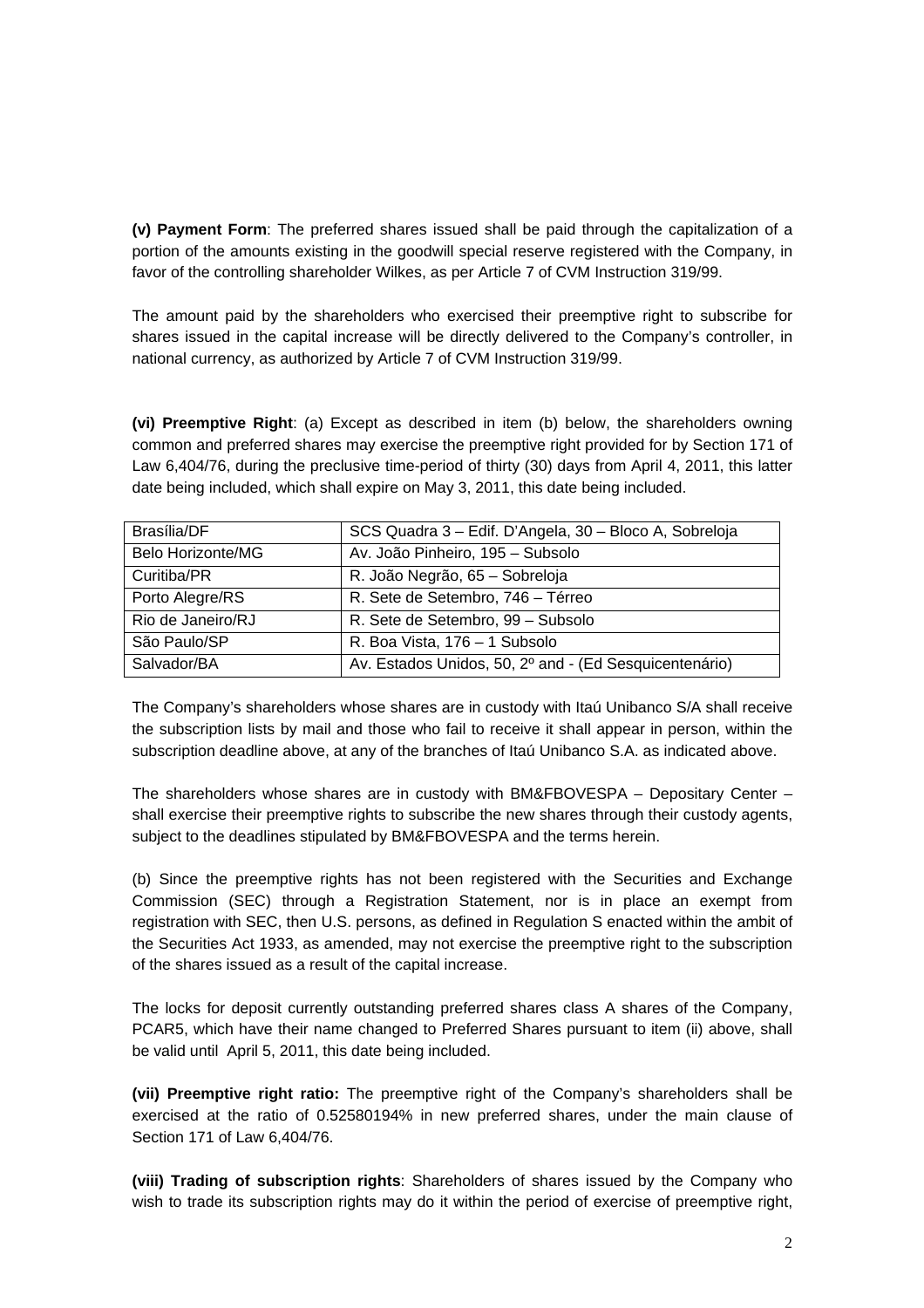**(v) Payment Form**: The preferred shares issued shall be paid through the capitalization of a portion of the amounts existing in the goodwill special reserve registered with the Company, in favor of the controlling shareholder Wilkes, as per Article 7 of CVM Instruction 319/99.

The amount paid by the shareholders who exercised their preemptive right to subscribe for shares issued in the capital increase will be directly delivered to the Company's controller, in national currency, as authorized by Article 7 of CVM Instruction 319/99.

**(vi) Preemptive Right**: (a) Except as described in item (b) below, the shareholders owning common and preferred shares may exercise the preemptive right provided for by Section 171 of Law 6,404/76, during the preclusive time-period of thirty (30) days from April 4, 2011, this latter date being included, which shall expire on May 3, 2011, this date being included.

| Brasília/DF              | SCS Quadra 3 - Edif. D'Angela, 30 - Bloco A, Sobreloja |
|--------------------------|--------------------------------------------------------|
| <b>Belo Horizonte/MG</b> | Av. João Pinheiro, 195 - Subsolo                       |
| Curitiba/PR              | R. João Negrão, 65 - Sobreloja                         |
| Porto Alegre/RS          | R. Sete de Setembro, 746 - Térreo                      |
| Rio de Janeiro/RJ        | R. Sete de Setembro, 99 - Subsolo                      |
| São Paulo/SP             | R. Boa Vista, 176 - 1 Subsolo                          |
| Salvador/BA              | Av. Estados Unidos, 50, 2º and - (Ed Sesquicentenário) |

The Company's shareholders whose shares are in custody with Itaú Unibanco S/A shall receive the subscription lists by mail and those who fail to receive it shall appear in person, within the subscription deadline above, at any of the branches of Itaú Unibanco S.A. as indicated above.

The shareholders whose shares are in custody with BM&FBOVESPA – Depositary Center – shall exercise their preemptive rights to subscribe the new shares through their custody agents, subject to the deadlines stipulated by BM&FBOVESPA and the terms herein.

(b) Since the preemptive rights has not been registered with the Securities and Exchange Commission (SEC) through a Registration Statement, nor is in place an exempt from registration with SEC, then U.S. persons, as defined in Regulation S enacted within the ambit of the Securities Act 1933, as amended, may not exercise the preemptive right to the subscription of the shares issued as a result of the capital increase.

The locks for deposit currently outstanding preferred shares class A shares of the Company, PCAR5, which have their name changed to Preferred Shares pursuant to item (ii) above, shall be valid until April 5, 2011, this date being included.

**(vii) Preemptive right ratio:** The preemptive right of the Company's shareholders shall be exercised at the ratio of 0.52580194% in new preferred shares, under the main clause of Section 171 of Law 6,404/76.

**(viii) Trading of subscription rights**: Shareholders of shares issued by the Company who wish to trade its subscription rights may do it within the period of exercise of preemptive right,